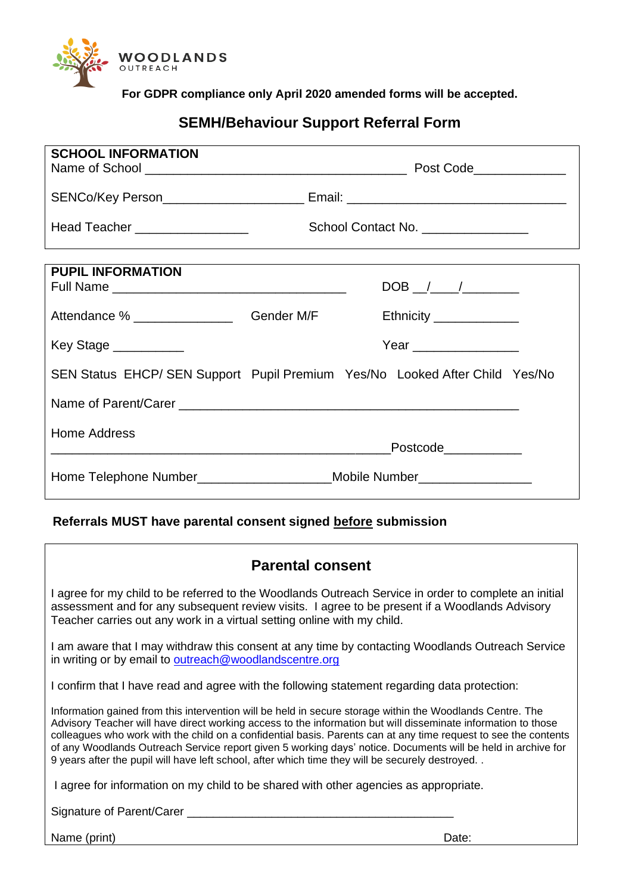

**For GDPR compliance only April 2020 amended forms will be accepted.**

# **SEMH/Behaviour Support Referral Form**

| <b>SCHOOL INFORMATION</b>                                                        |  |                          |
|----------------------------------------------------------------------------------|--|--------------------------|
|                                                                                  |  |                          |
| Head Teacher __________________                                                  |  | School Contact No.       |
|                                                                                  |  |                          |
| <b>PUPIL INFORMATION</b>                                                         |  |                          |
| Attendance % _________________________Gender M/F                                 |  | Ethnicity ______________ |
|                                                                                  |  |                          |
| Key Stage ___________                                                            |  | Year _________________   |
| SEN Status EHCP/ SEN Support Pupil Premium Yes/No Looked After Child Yes/No      |  |                          |
|                                                                                  |  |                          |
| Home Address                                                                     |  |                          |
|                                                                                  |  | Postcode____________     |
| Home Telephone Number________________________Mobile Number______________________ |  |                          |

## **Referrals MUST have parental consent signed before submission**

| <b>Parental consent</b>                                                                                                                                                                                                                                                                                                                                                                                                                                                                                                                                          |
|------------------------------------------------------------------------------------------------------------------------------------------------------------------------------------------------------------------------------------------------------------------------------------------------------------------------------------------------------------------------------------------------------------------------------------------------------------------------------------------------------------------------------------------------------------------|
| I agree for my child to be referred to the Woodlands Outreach Service in order to complete an initial<br>assessment and for any subsequent review visits. I agree to be present if a Woodlands Advisory<br>Teacher carries out any work in a virtual setting online with my child.                                                                                                                                                                                                                                                                               |
| I am aware that I may withdraw this consent at any time by contacting Woodlands Outreach Service<br>in writing or by email to outreach@woodlandscentre.org                                                                                                                                                                                                                                                                                                                                                                                                       |
| I confirm that I have read and agree with the following statement regarding data protection:                                                                                                                                                                                                                                                                                                                                                                                                                                                                     |
| Information gained from this intervention will be held in secure storage within the Woodlands Centre. The<br>Advisory Teacher will have direct working access to the information but will disseminate information to those<br>colleagues who work with the child on a confidential basis. Parents can at any time request to see the contents<br>of any Woodlands Outreach Service report given 5 working days' notice. Documents will be held in archive for<br>9 years after the pupil will have left school, after which time they will be securely destroyed |
| I agree for information on my child to be shared with other agencies as appropriate.                                                                                                                                                                                                                                                                                                                                                                                                                                                                             |
| Signature of Parent/Carer __                                                                                                                                                                                                                                                                                                                                                                                                                                                                                                                                     |

Name (print) Date: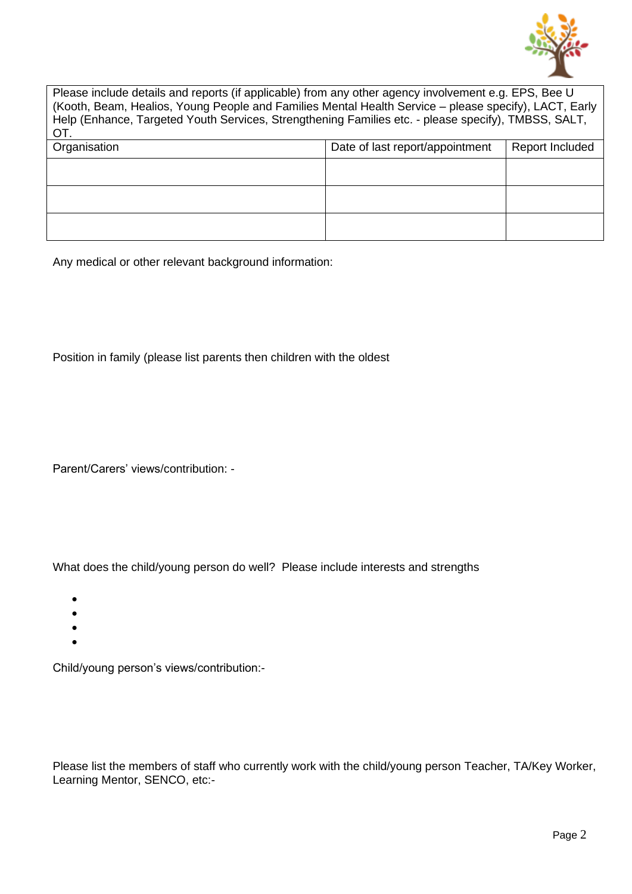

| Please include details and reports (if applicable) from any other agency involvement e.g. EPS, Bee U<br>(Kooth, Beam, Healios, Young People and Families Mental Health Service – please specify), LACT, Early<br>Help (Enhance, Targeted Youth Services, Strengthening Families etc. - please specify), TMBSS, SALT,<br>OT. |                                 |                 |  |  |  |  |  |  |
|-----------------------------------------------------------------------------------------------------------------------------------------------------------------------------------------------------------------------------------------------------------------------------------------------------------------------------|---------------------------------|-----------------|--|--|--|--|--|--|
| Organisation                                                                                                                                                                                                                                                                                                                | Date of last report/appointment | Report Included |  |  |  |  |  |  |
|                                                                                                                                                                                                                                                                                                                             |                                 |                 |  |  |  |  |  |  |
|                                                                                                                                                                                                                                                                                                                             |                                 |                 |  |  |  |  |  |  |
|                                                                                                                                                                                                                                                                                                                             |                                 |                 |  |  |  |  |  |  |

Any medical or other relevant background information:

Position in family (please list parents then children with the oldest

Parent/Carers' views/contribution: -

What does the child/young person do well? Please include interests and strengths

- •
- •
- •
- •

Child/young person's views/contribution:-

Please list the members of staff who currently work with the child/young person Teacher, TA/Key Worker, Learning Mentor, SENCO, etc:-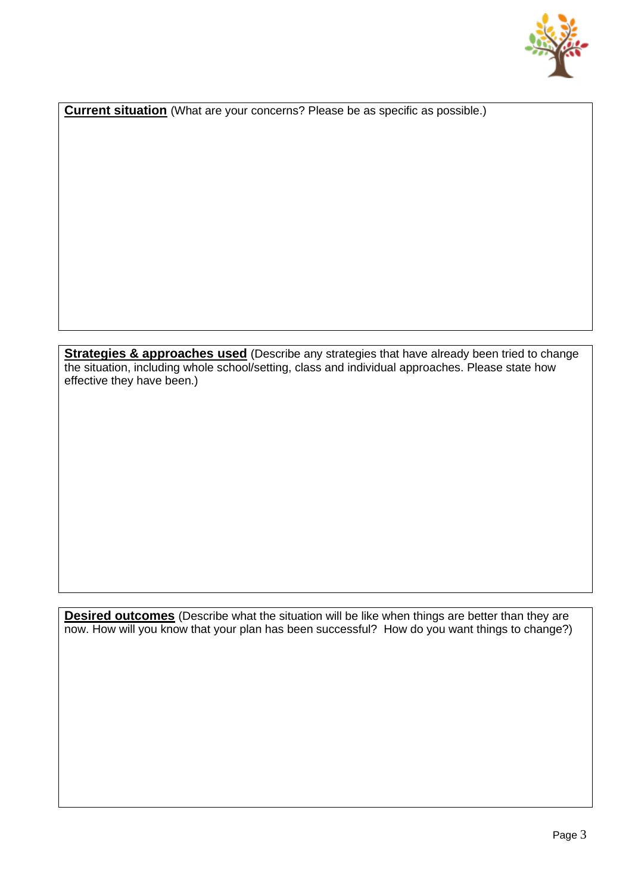

**Current situation** (What are your concerns? Please be as specific as possible.)

**Strategies & approaches used** (Describe any strategies that have already been tried to change the situation, including whole school/setting, class and individual approaches. Please state how effective they have been.)

**Desired outcomes** (Describe what the situation will be like when things are better than they are now. How will you know that your plan has been successful? How do you want things to change?)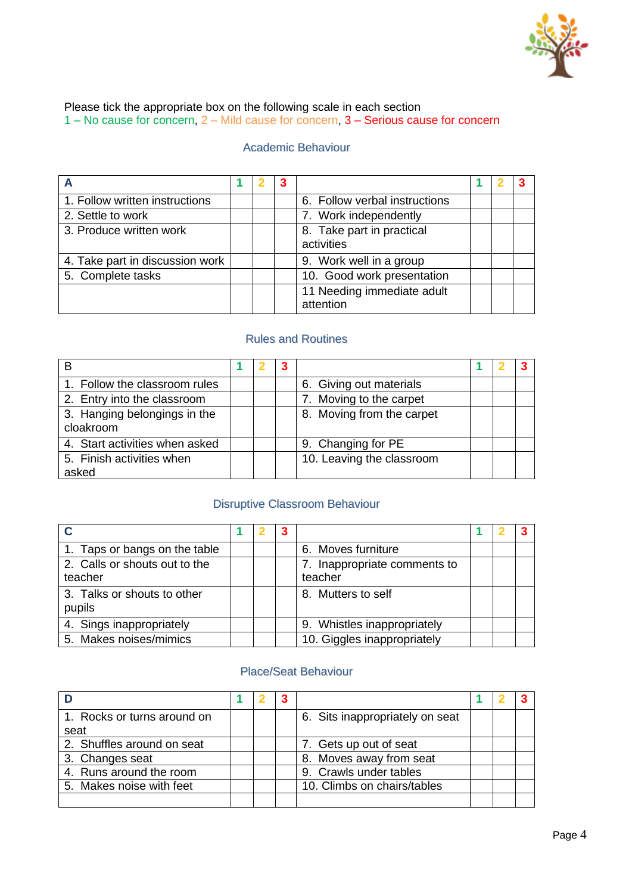

Please tick the appropriate box on the following scale in each section 1 – No cause for concern, 2 – Mild cause for concern, 3 – Serious cause for concern

#### Academic Behaviour

| 1. Follow written instructions  |  | 6. Follow verbal instructions           |  |  |
|---------------------------------|--|-----------------------------------------|--|--|
| 2. Settle to work               |  | 7. Work independently                   |  |  |
| 3. Produce written work         |  | 8. Take part in practical<br>activities |  |  |
| 4. Take part in discussion work |  | 9. Work well in a group                 |  |  |
| 5. Complete tasks               |  | 10. Good work presentation              |  |  |
|                                 |  | 11 Needing immediate adult<br>attention |  |  |

#### Rules and Routines

|                                           |  | -3 |                           |  |  |
|-------------------------------------------|--|----|---------------------------|--|--|
| 1. Follow the classroom rules             |  |    | 6. Giving out materials   |  |  |
| 2. Entry into the classroom               |  |    | 7. Moving to the carpet   |  |  |
| 3. Hanging belongings in the<br>cloakroom |  |    | 8. Moving from the carpet |  |  |
| 4. Start activities when asked            |  |    | 9. Changing for PE        |  |  |
| 5. Finish activities when<br>asked        |  |    | 10. Leaving the classroom |  |  |

### Disruptive Classroom Behaviour

|                                          |  | 3 |                                         |  |  |
|------------------------------------------|--|---|-----------------------------------------|--|--|
| 1. Taps or bangs on the table            |  |   | 6. Moves furniture                      |  |  |
| 2. Calls or shouts out to the<br>teacher |  |   | 7. Inappropriate comments to<br>teacher |  |  |
| 3. Talks or shouts to other<br>pupils    |  |   | 8. Mutters to self                      |  |  |
| 4. Sings inappropriately                 |  |   | 9. Whistles inappropriately             |  |  |
| 5. Makes noises/mimics                   |  |   | 10. Giggles inappropriately             |  |  |

#### Place/Seat Behaviour

| 1. Rocks or turns around on |  | 6. Sits inappropriately on seat |  |  |
|-----------------------------|--|---------------------------------|--|--|
| seat                        |  |                                 |  |  |
| 2. Shuffles around on seat  |  | 7. Gets up out of seat          |  |  |
| 3. Changes seat             |  | 8. Moves away from seat         |  |  |
| 4. Runs around the room     |  | 9. Crawls under tables          |  |  |
| 5. Makes noise with feet    |  | 10. Climbs on chairs/tables     |  |  |
|                             |  |                                 |  |  |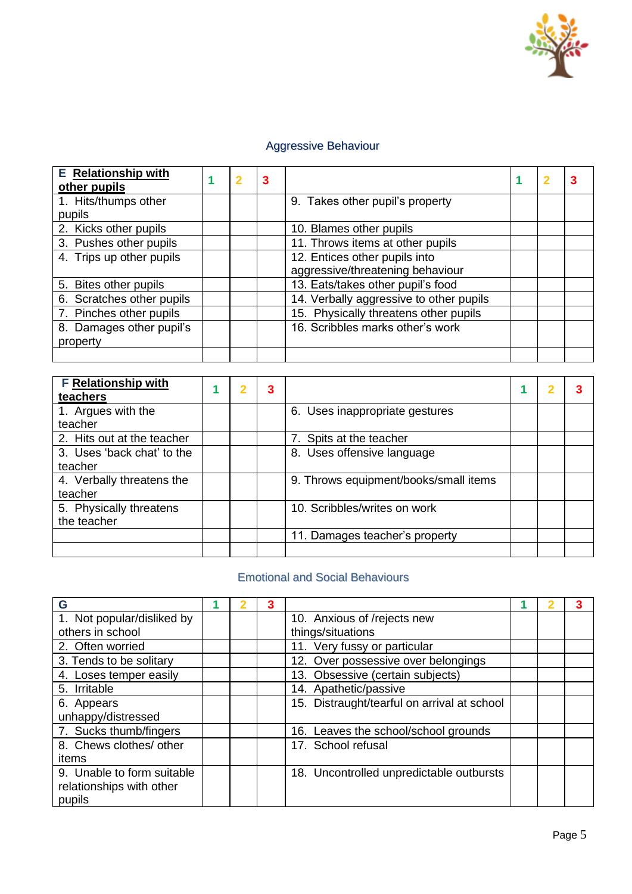

## Aggressive Behaviour

| <b>E</b> Relationship with<br>other pupils | $\mathbf{2}$ | 3 |                                         | -2 |  |
|--------------------------------------------|--------------|---|-----------------------------------------|----|--|
| 1. Hits/thumps other                       |              |   | 9. Takes other pupil's property         |    |  |
| pupils                                     |              |   |                                         |    |  |
| 2. Kicks other pupils                      |              |   | 10. Blames other pupils                 |    |  |
| 3. Pushes other pupils                     |              |   | 11. Throws items at other pupils        |    |  |
| 4. Trips up other pupils                   |              |   | 12. Entices other pupils into           |    |  |
|                                            |              |   | aggressive/threatening behaviour        |    |  |
| 5. Bites other pupils                      |              |   | 13. Eats/takes other pupil's food       |    |  |
| 6. Scratches other pupils                  |              |   | 14. Verbally aggressive to other pupils |    |  |
| 7. Pinches other pupils                    |              |   | 15. Physically threatens other pupils   |    |  |
| 8. Damages other pupil's                   |              |   | 16. Scribbles marks other's work        |    |  |
| property                                   |              |   |                                         |    |  |
|                                            |              |   |                                         |    |  |

| <b>F Relationship with</b> |  | 3 |                                       | 2 |  |
|----------------------------|--|---|---------------------------------------|---|--|
| teachers                   |  |   |                                       |   |  |
| 1. Argues with the         |  |   | 6. Uses inappropriate gestures        |   |  |
| teacher                    |  |   |                                       |   |  |
| 2. Hits out at the teacher |  |   | 7. Spits at the teacher               |   |  |
| 3. Uses 'back chat' to the |  |   | 8. Uses offensive language            |   |  |
| teacher                    |  |   |                                       |   |  |
| 4. Verbally threatens the  |  |   | 9. Throws equipment/books/small items |   |  |
| teacher                    |  |   |                                       |   |  |
| 5. Physically threatens    |  |   | 10. Scribbles/writes on work          |   |  |
| the teacher                |  |   |                                       |   |  |
|                            |  |   | 11. Damages teacher's property        |   |  |
|                            |  |   |                                       |   |  |

## Emotional and Social Behaviours

| G                          |  | 3 |                                             |  |  |
|----------------------------|--|---|---------------------------------------------|--|--|
| 1. Not popular/disliked by |  |   | 10. Anxious of /rejects new                 |  |  |
| others in school           |  |   | things/situations                           |  |  |
| 2. Often worried           |  |   | 11. Very fussy or particular                |  |  |
| 3. Tends to be solitary    |  |   | 12. Over possessive over belongings         |  |  |
| 4. Loses temper easily     |  |   | 13. Obsessive (certain subjects)            |  |  |
| 5. Irritable               |  |   | 14. Apathetic/passive                       |  |  |
| 6. Appears                 |  |   | 15. Distraught/tearful on arrival at school |  |  |
| unhappy/distressed         |  |   |                                             |  |  |
| 7. Sucks thumb/fingers     |  |   | 16. Leaves the school/school grounds        |  |  |
| 8. Chews clothes/ other    |  |   | 17. School refusal                          |  |  |
| items                      |  |   |                                             |  |  |
| 9. Unable to form suitable |  |   | 18. Uncontrolled unpredictable outbursts    |  |  |
| relationships with other   |  |   |                                             |  |  |
| pupils                     |  |   |                                             |  |  |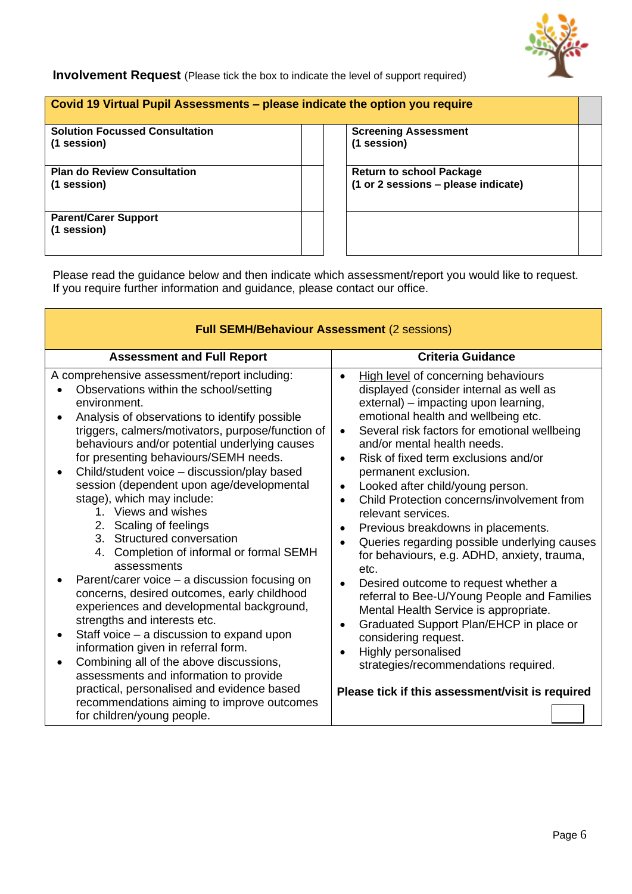

#### **Involvement Request** (Please tick the box to indicate the level of support required)

#### **Covid 19 Virtual Pupil Assessments – please indicate the option you require**

**Solution Focussed Consultation (1 session)**

**Plan do Review Consultation (1 session)**

**Parent/Carer Support (1 session)**

**Screening Assessment (1 session)**

**Return to school Package (1 or 2 sessions – please indicate)**

Please read the guidance below and then indicate which assessment/report you would like to request. If you require further information and guidance, please contact our office.

| <b>Full SEMH/Behaviour Assessment (2 sessions)</b>                                                                                                                                                                                                                                                                                                                                                                                                                                                                                                                                                                                                                                                                                                                                                                                                                                                                                                                                                                                                         |                                                                                                                                                                                                                                                                                                                                                                                                                                                                                                                                                                                                                                                                                                                                                                                                                                                                                                                                                                                    |
|------------------------------------------------------------------------------------------------------------------------------------------------------------------------------------------------------------------------------------------------------------------------------------------------------------------------------------------------------------------------------------------------------------------------------------------------------------------------------------------------------------------------------------------------------------------------------------------------------------------------------------------------------------------------------------------------------------------------------------------------------------------------------------------------------------------------------------------------------------------------------------------------------------------------------------------------------------------------------------------------------------------------------------------------------------|------------------------------------------------------------------------------------------------------------------------------------------------------------------------------------------------------------------------------------------------------------------------------------------------------------------------------------------------------------------------------------------------------------------------------------------------------------------------------------------------------------------------------------------------------------------------------------------------------------------------------------------------------------------------------------------------------------------------------------------------------------------------------------------------------------------------------------------------------------------------------------------------------------------------------------------------------------------------------------|
| <b>Assessment and Full Report</b>                                                                                                                                                                                                                                                                                                                                                                                                                                                                                                                                                                                                                                                                                                                                                                                                                                                                                                                                                                                                                          | <b>Criteria Guidance</b>                                                                                                                                                                                                                                                                                                                                                                                                                                                                                                                                                                                                                                                                                                                                                                                                                                                                                                                                                           |
| A comprehensive assessment/report including:<br>Observations within the school/setting<br>environment.<br>Analysis of observations to identify possible<br>triggers, calmers/motivators, purpose/function of<br>behaviours and/or potential underlying causes<br>for presenting behaviours/SEMH needs.<br>Child/student voice - discussion/play based<br>session (dependent upon age/developmental<br>stage), which may include:<br>1. Views and wishes<br>2. Scaling of feelings<br>3. Structured conversation<br>4. Completion of informal or formal SEMH<br>assessments<br>Parent/carer voice – a discussion focusing on<br>concerns, desired outcomes, early childhood<br>experiences and developmental background,<br>strengths and interests etc.<br>Staff voice – a discussion to expand upon<br>information given in referral form.<br>Combining all of the above discussions,<br>assessments and information to provide<br>practical, personalised and evidence based<br>recommendations aiming to improve outcomes<br>for children/young people. | High level of concerning behaviours<br>displayed (consider internal as well as<br>external) - impacting upon learning,<br>emotional health and wellbeing etc.<br>Several risk factors for emotional wellbeing<br>$\bullet$<br>and/or mental health needs.<br>Risk of fixed term exclusions and/or<br>$\bullet$<br>permanent exclusion.<br>Looked after child/young person.<br>$\bullet$<br>Child Protection concerns/involvement from<br>$\bullet$<br>relevant services.<br>Previous breakdowns in placements.<br>$\bullet$<br>Queries regarding possible underlying causes<br>$\bullet$<br>for behaviours, e.g. ADHD, anxiety, trauma,<br>etc.<br>Desired outcome to request whether a<br>referral to Bee-U/Young People and Families<br>Mental Health Service is appropriate.<br>Graduated Support Plan/EHCP in place or<br>$\bullet$<br>considering request.<br>Highly personalised<br>strategies/recommendations required.<br>Please tick if this assessment/visit is required |